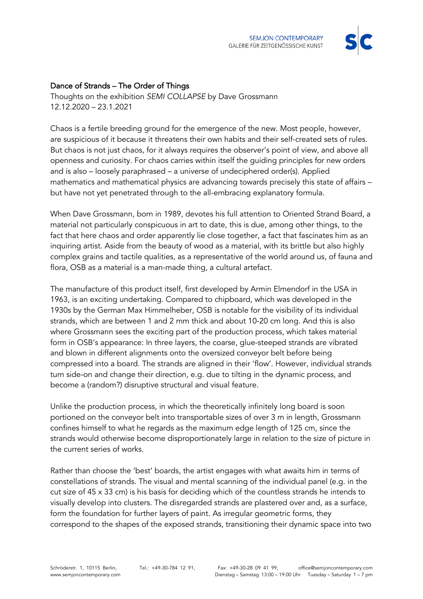

## Dance of Strands – The Order of Things

Thoughts on the exhibition *SEMI COLLAPSE* by Dave Grossmann 12.12.2020 – 23.1.2021

Chaos is a fertile breeding ground for the emergence of the new. Most people, however, are suspicious of it because it threatens their own habits and their self-created sets of rules. But chaos is not just chaos, for it always requires the observer's point of view, and above all openness and curiosity. For chaos carries within itself the guiding principles for new orders and is also – loosely paraphrased – a universe of undeciphered order(s). Applied mathematics and mathematical physics are advancing towards precisely this state of affairs – but have not yet penetrated through to the all-embracing explanatory formula.

When Dave Grossmann, born in 1989, devotes his full attention to Oriented Strand Board, a material not particularly conspicuous in art to date, this is due, among other things, to the fact that here chaos and order apparently lie close together, a fact that fascinates him as an inquiring artist. Aside from the beauty of wood as a material, with its brittle but also highly complex grains and tactile qualities, as a representative of the world around us, of fauna and flora, OSB as a material is a man-made thing, a cultural artefact.

The manufacture of this product itself, first developed by Armin Elmendorf in the USA in 1963, is an exciting undertaking. Compared to chipboard, which was developed in the 1930s by the German Max Himmelheber, OSB is notable for the visibility of its individual strands, which are between 1 and 2 mm thick and about 10-20 cm long. And this is also where Grossmann sees the exciting part of the production process, which takes material form in OSB's appearance: In three layers, the coarse, glue-steeped strands are vibrated and blown in different alignments onto the oversized conveyor belt before being compressed into a board. The strands are aligned in their 'flow'. However, individual strands turn side-on and change their direction, e.g. due to tilting in the dynamic process, and become a (random?) disruptive structural and visual feature.

Unlike the production process, in which the theoretically infinitely long board is soon portioned on the conveyor belt into transportable sizes of over 3 m in length, Grossmann confines himself to what he regards as the maximum edge length of 125 cm, since the strands would otherwise become disproportionately large in relation to the size of picture in the current series of works.

Rather than choose the 'best' boards, the artist engages with what awaits him in terms of constellations of strands. The visual and mental scanning of the individual panel (e.g. in the cut size of 45 x 33 cm) is his basis for deciding which of the countless strands he intends to visually develop into clusters. The disregarded strands are plastered over and, as a surface, form the foundation for further layers of paint. As irregular geometric forms, they correspond to the shapes of the exposed strands, transitioning their dynamic space into two